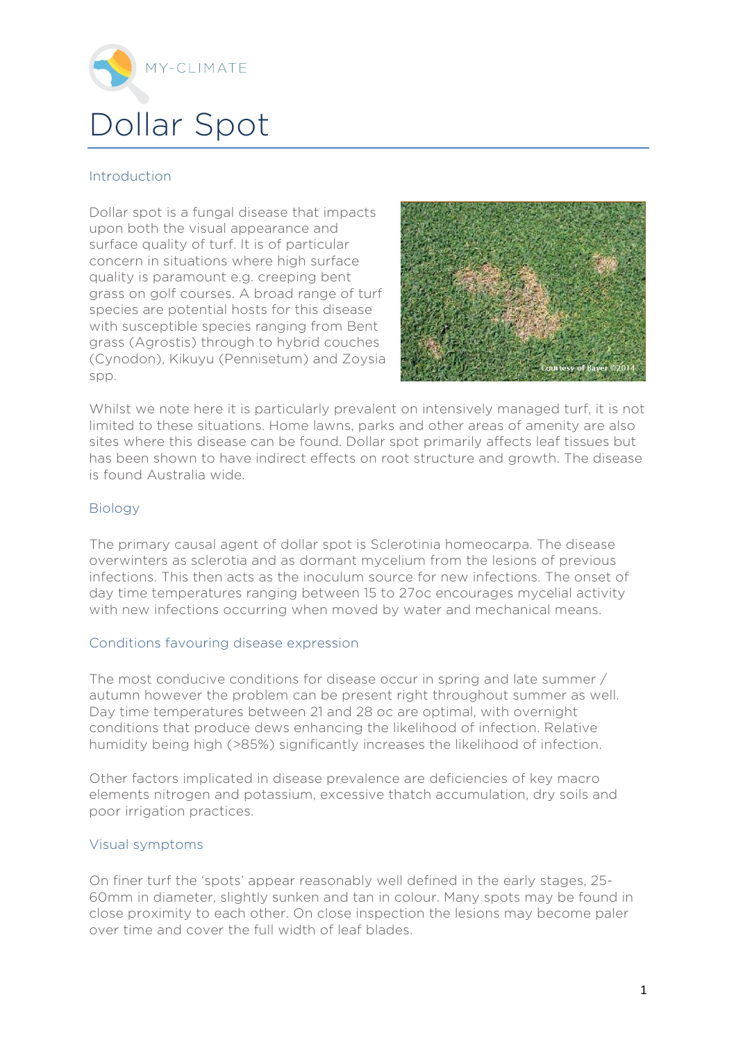

# Introduction

Dollar spot is a fungal disease that impacts upon both the visual appearance and surface quality of turf. It is of particular concern in situations where high surface quality is paramount e.g. creeping bent grass on golf courses. A broad range of turf species are potential hosts for this disease with susceptible species ranging from Bent grass (Agrostis) through to hybrid couches (Cynodon), Kikuyu (Pennisetum) and Zoysia spp.



Whilst we note here it is particularly prevalent on intensively managed turf, it is not limited to these situations. Home lawns, parks and other areas of amenity are also sites where this disease can be found. Dollar spot primarily affects leaf tissues but has been shown to have indirect effects on root structure and growth. The disease is found Australia wide.

## Biology

The primary causal agent of dollar spot is Sclerotinia homeocarpa. The disease overwinters as sclerotia and as dormant mycelium from the lesions of previous infections. This then acts as the inoculum source for new infections. The onset of day time temperatures ranging between 15 to 27oc encourages mycelial activity with new infections occurring when moved by water and mechanical means.

### Conditions favouring disease expression

The most conducive conditions for disease occur in spring and late summer / autumn however the problem can be present right throughout summer as well. Day time temperatures between 21 and 28 oc are optimal, with overnight conditions that produce dews enhancing the likelihood of infection. Relative humidity being high (>85%) significantly increases the likelihood of infection.

Other factors implicated in disease prevalence are deficiencies of key macro elements nitrogen and potassium, excessive thatch accumulation, dry soils and poor irrigation practices.

### Visual symptoms

On finer turf the 'spots' appear reasonably well defined in the early stages, 25- 60mm in diameter, slightly sunken and tan in colour. Many spots may be found in close proximity to each other. On close inspection the lesions may become paler over time and cover the full width of leaf blades.